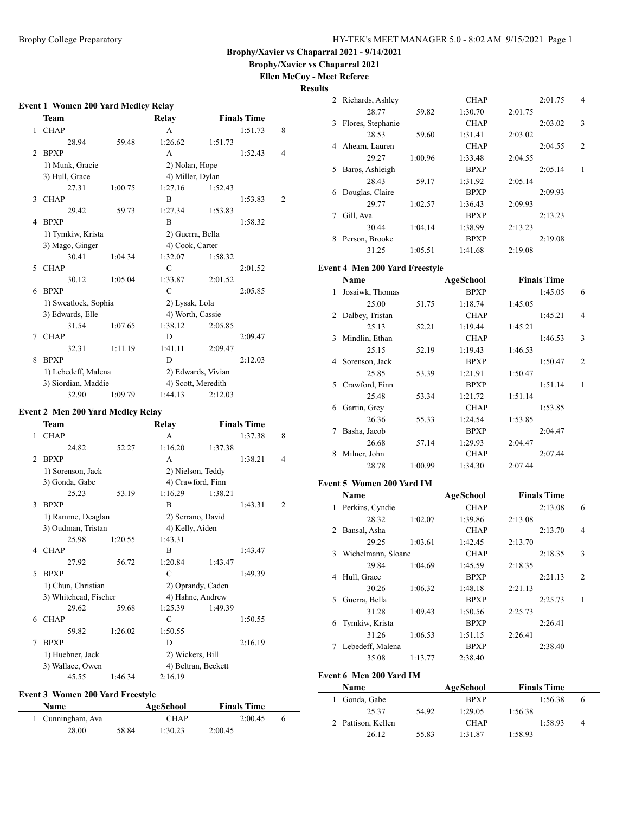**Brophy/Xavier vs Chaparral 2021**

**Ellen McCoy - Meet Referee**

|   | Team                 |         | Relay            |                    | <b>Finals Time</b> |                |
|---|----------------------|---------|------------------|--------------------|--------------------|----------------|
| 1 | <b>CHAP</b>          |         | A                |                    | 1:51.73            | 8              |
|   | 28.94                | 59.48   | 1:26.62          | 1:51.73            |                    |                |
| 2 | <b>BPXP</b>          |         | A                |                    | 1:52.43            | 4              |
|   | 1) Munk, Gracie      |         | 2) Nolan, Hope   |                    |                    |                |
|   | 3) Hull, Grace       |         | 4) Miller, Dylan |                    |                    |                |
|   | 27.31                | 1:00.75 | 1:27.16          | 1:52.43            |                    |                |
| 3 | <b>CHAP</b>          |         | B                |                    | 1:53.83            | $\overline{c}$ |
|   | 29.42                | 59.73   | 1:27.34          | 1:53.83            |                    |                |
| 4 | <b>BPXP</b>          |         | B                |                    | 1:58.32            |                |
|   | 1) Tymkiw, Krista    |         | 2) Guerra, Bella |                    |                    |                |
|   | 3) Mago, Ginger      |         | 4) Cook, Carter  |                    |                    |                |
|   | 30.41                | 1:04.34 | 1:32.07          | 1:58.32            |                    |                |
| 5 | <b>CHAP</b>          |         | $\mathcal{C}$    |                    | 2:01.52            |                |
|   | 30.12                | 1:05.04 | 1:33.87          | 2:01.52            |                    |                |
| 6 | <b>BPXP</b>          |         | $\mathcal{C}$    |                    | 2:05.85            |                |
|   | 1) Sweatlock, Sophia |         | 2) Lysak, Lola   |                    |                    |                |
|   | 3) Edwards, Elle     |         | 4) Worth, Cassie |                    |                    |                |
|   | 31.54                | 1:07.65 | 1:38.12          | 2:05.85            |                    |                |
| 7 | <b>CHAP</b>          |         | D                |                    | 2:09.47            |                |
|   | 32.31                | 1:11.19 | 1:41.11          | 2:09.47            |                    |                |
| 8 | <b>BPXP</b>          |         | D                |                    | 2:12.03            |                |
|   | 1) Lebedeff, Malena  |         |                  | 2) Edwards, Vivian |                    |                |
|   | 3) Siordian, Maddie  |         |                  | 4) Scott, Meredith |                    |                |
|   | 32.90                | 1:09.79 | 1:44.13          | 2:12.03            |                    |                |

### **Event 2 Men 200 Yard Medley Relay**

|                | Team                  |         | Relay               |         | <b>Finals Time</b> |                |
|----------------|-----------------------|---------|---------------------|---------|--------------------|----------------|
| 1              | <b>CHAP</b>           |         | A                   |         | 1:37.38            | 8              |
|                | 24.82                 | 52.27   | 1:16.20             | 1:37.38 |                    |                |
| $\mathfrak{D}$ | <b>BPXP</b>           |         | A                   |         | 1:38.21            | 4              |
|                | 1) Sorenson, Jack     |         | 2) Nielson, Teddy   |         |                    |                |
|                | 3) Gonda, Gabe        |         | 4) Crawford, Finn   |         |                    |                |
|                | 25.23                 | 53.19   | 1:16.29             | 1:38.21 |                    |                |
| 3              | <b>BPXP</b>           |         | B                   |         | 1:43.31            | $\overline{2}$ |
|                | 1) Ramme, Deaglan     |         | 2) Serrano, David   |         |                    |                |
|                | 3) Oudman, Tristan    |         | 4) Kelly, Aiden     |         |                    |                |
|                | 25.98                 | 1:20.55 | 1:43.31             |         |                    |                |
| 4              | <b>CHAP</b>           |         | B                   |         | 1:43.47            |                |
|                | 27.92                 | 56.72   | 1:20.84             | 1:43.47 |                    |                |
| 5              | <b>BPXP</b>           |         | C                   |         | 1:49.39            |                |
|                | 1) Chun, Christian    |         | 2) Oprandy, Caden   |         |                    |                |
|                | 3) Whitehead, Fischer |         | 4) Hahne, Andrew    |         |                    |                |
|                | 29.62                 | 59.68   | 1:25.39             | 1:49.39 |                    |                |
| 6              | <b>CHAP</b>           |         | C                   |         | 1:50.55            |                |
|                | 59.82                 | 1:26.02 | 1:50.55             |         |                    |                |
| 7              | <b>BPXP</b>           |         | D                   |         | 2:16.19            |                |
|                | 1) Huebner, Jack      |         | 2) Wickers, Bill    |         |                    |                |
|                | 3) Wallace, Owen      |         | 4) Beltran, Beckett |         |                    |                |
|                | 45.55                 | 1:46.34 | 2:16.19             |         |                    |                |

### **Event 3 Women 200 Yard Freestyle**

| Name              |       | AgeSchool   | <b>Finals Time</b> |  |
|-------------------|-------|-------------|--------------------|--|
| 1 Cunningham, Ava |       | <b>CHAP</b> | 2:00.45            |  |
| 28.00             | 58.84 | 1:30.23     | 2:00.45            |  |

| $\mathfrak{D}_{\mathfrak{p}}$ | Richards, Ashley  |         | <b>CHAP</b> |         | 2:01.75 | 4             |
|-------------------------------|-------------------|---------|-------------|---------|---------|---------------|
|                               | 28.77             | 59.82   | 1:30.70     | 2:01.75 |         |               |
| 3                             | Flores, Stephanie |         | <b>CHAP</b> |         | 2:03.02 | 3             |
|                               | 28.53             | 59.60   | 1:31.41     | 2:03.02 |         |               |
| 4                             | Ahearn, Lauren    |         | <b>CHAP</b> |         | 2:04.55 | $\mathcal{L}$ |
|                               | 29.27             | 1:00.96 | 1:33.48     | 2:04.55 |         |               |
| 5                             | Baros, Ashleigh   |         | <b>BPXP</b> |         | 2:05.14 | 1             |
|                               | 28.43             | 59.17   | 1:31.92     | 2:05.14 |         |               |
| 6                             | Douglas, Claire   |         | <b>BPXP</b> |         | 2:09.93 |               |
|                               | 29.77             | 1:02.57 | 1:36.43     | 2:09.93 |         |               |
| 7                             | Gill, Ava         |         | <b>BPXP</b> |         | 2:13.23 |               |
|                               | 30.44             | 1:04.14 | 1:38.99     | 2:13.23 |         |               |
| 8                             | Person, Brooke    |         | <b>BPXP</b> |         | 2:19.08 |               |
|                               | 31.25             | 1:05.51 | 1:41.68     | 2:19.08 |         |               |

### **Event 4 Men 200 Yard Freestyle**

|    | Name            |         | AgeSchool   |         | <b>Finals Time</b> |                |
|----|-----------------|---------|-------------|---------|--------------------|----------------|
| 1  | Josaiwk, Thomas |         | <b>BPXP</b> |         | 1:45.05            | 6              |
|    | 25.00           | 51.75   | 1:18.74     | 1:45.05 |                    |                |
| 2  | Dalbey, Tristan |         | <b>CHAP</b> |         | 1:45.21            | $\overline{4}$ |
|    | 25.13           | 52.21   | 1:19.44     | 1:45.21 |                    |                |
| 3  | Mindlin, Ethan  |         | <b>CHAP</b> |         | 1:46.53            | 3              |
|    | 25.15           | 52.19   | 1:19.43     | 1:46.53 |                    |                |
| 4  | Sorenson, Jack  |         | <b>BPXP</b> |         | 1:50.47            | $\overline{2}$ |
|    | 25.85           | 53.39   | 1:21.91     | 1:50.47 |                    |                |
| 5. | Crawford, Finn  |         | <b>BPXP</b> |         | 1:51.14            | 1              |
|    | 25.48           | 53.34   | 1:21.72     | 1:51.14 |                    |                |
| 6  | Gartin, Grey    |         | <b>CHAP</b> |         | 1:53.85            |                |
|    | 26.36           | 55.33   | 1:24.54     | 1:53.85 |                    |                |
| 7  | Basha, Jacob    |         | <b>BPXP</b> |         | 2:04.47            |                |
|    | 26.68           | 57.14   | 1:29.93     | 2:04.47 |                    |                |
| 8  | Milner, John    |         | <b>CHAP</b> |         | 2:07.44            |                |
|    | 28.78           | 1:00.99 | 1:34.30     | 2:07.44 |                    |                |

### **Event 5 Women 200 Yard IM**

|    | <b>Name</b>        |         | <b>AgeSchool</b> | <b>Finals Time</b> |                |
|----|--------------------|---------|------------------|--------------------|----------------|
| 1  | Perkins, Cyndie    |         | <b>CHAP</b>      | 2:13.08            | 6              |
|    | 28.32              | 1:02.07 | 1:39.86          | 2:13.08            |                |
| 2  | Bansal, Asha       |         | <b>CHAP</b>      | 2:13.70            | $\overline{4}$ |
|    | 29.25              | 1:03.61 | 1:42.45          | 2:13.70            |                |
| 3  | Wichelmann, Sloane |         | <b>CHAP</b>      | 2:18.35            | 3              |
|    | 29.84              | 1:04.69 | 1:45.59          | 2:18.35            |                |
| 4  | Hull, Grace        |         | <b>BPXP</b>      | 2:21.13            | $\overline{c}$ |
|    | 30.26              | 1:06.32 | 1:48.18          | 2:21.13            |                |
| 5. | Guerra, Bella      |         | <b>BPXP</b>      | 2:25.73            | 1              |
|    | 31.28              | 1:09.43 | 1:50.56          | 2:25.73            |                |
| 6  | Tymkiw, Krista     |         | <b>BPXP</b>      | 2:26.41            |                |
|    | 31.26              | 1:06.53 | 1:51.15          | 2:26.41            |                |
| 7  | Lebedeff, Malena   |         | <b>BPXP</b>      | 2:38.40            |                |
|    | 35.08              | 1:13.77 | 2:38.40          |                    |                |

#### **Event 6 Men 200 Yard IM**

| <b>Name</b>        |       | AgeSchool   | <b>Finals Time</b> |   |
|--------------------|-------|-------------|--------------------|---|
| Gonda, Gabe        |       | <b>RPXP</b> | 1:56.38            |   |
| 25.37              | 54.92 | 1:29.05     | 1:56.38            |   |
| 2 Pattison, Kellen |       | <b>CHAP</b> | 1:58.93            | 4 |
| 26.12              | 55.83 | 1:31.87     | 1:58.93            |   |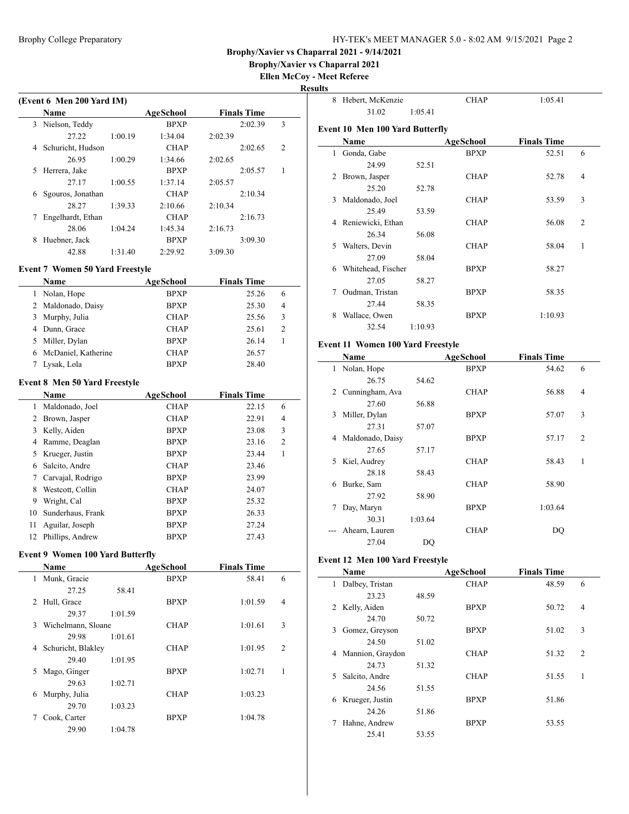**Brophy/Xavier vs Chaparral 2021**

**Ellen McCoy - Meet Referee Results**

 $\overline{\phantom{0}}$ 

| (Event 6 Men 200 Yard IM) |                                         |         |                  |                    |              |  |  |
|---------------------------|-----------------------------------------|---------|------------------|--------------------|--------------|--|--|
|                           | <b>Name</b>                             |         | <b>AgeSchool</b> | <b>Finals Time</b> |              |  |  |
| 3                         | Nielson, Teddy                          |         | <b>BPXP</b>      | 2:02.39            | 3            |  |  |
|                           | 27.22                                   | 1:00.19 | 1:34.04          | 2:02.39            |              |  |  |
| 4                         | Schuricht, Hudson                       |         | <b>CHAP</b>      | 2:02.65            | 2            |  |  |
|                           | 26.95                                   | 1:00.29 | 1:34.66          | 2:02.65            |              |  |  |
| 5                         | Herrera, Jake                           |         | <b>BPXP</b>      | 2:05.57            | 1            |  |  |
|                           | 27.17                                   | 1:00.55 | 1:37.14          | 2:05.57            |              |  |  |
| 6                         | Sgouros, Jonathan                       |         | <b>CHAP</b>      | 2:10.34            |              |  |  |
|                           | 28.27                                   | 1:39.33 | 2:10.66          | 2:10.34            |              |  |  |
| 7                         | Engelhardt, Ethan                       |         | <b>CHAP</b>      | 2:16.73            |              |  |  |
|                           | 28.06                                   | 1:04.24 | 1:45.34          | 2:16.73            |              |  |  |
| 8                         | Huebner, Jack                           |         | <b>BPXP</b>      | 3:09.30            |              |  |  |
|                           | 42.88                                   | 1:31.40 | 2:29.92          | 3:09.30            |              |  |  |
|                           | <b>Event 7 Women 50 Yard Freestyle</b>  |         |                  |                    |              |  |  |
|                           | Name                                    |         | <b>AgeSchool</b> | <b>Finals Time</b> |              |  |  |
|                           | 1 Nolan, Hope                           |         | <b>BPXP</b>      | 25.26              | 6            |  |  |
| 2                         | Maldonado, Daisy                        |         | <b>BPXP</b>      | 25.30              | 4            |  |  |
| 3                         | Murphy, Julia                           |         | <b>CHAP</b>      | 25.56              | 3            |  |  |
|                           | 4 Dunn, Grace                           |         | <b>CHAP</b>      | 25.61              | 2            |  |  |
| 5                         | Miller, Dylan                           |         | <b>BPXP</b>      | 26.14              | 1            |  |  |
| 6                         | McDaniel, Katherine                     |         | <b>CHAP</b>      | 26.57              |              |  |  |
| 7                         | Lysak, Lola                             |         | <b>BPXP</b>      | 28.40              |              |  |  |
|                           |                                         |         |                  |                    |              |  |  |
|                           | Event 8 Men 50 Yard Freestyle           |         |                  |                    |              |  |  |
|                           | Name                                    |         | <b>AgeSchool</b> | <b>Finals Time</b> |              |  |  |
| 1                         | Maldonado, Joel                         |         | <b>CHAP</b>      | 22.15              | 6            |  |  |
|                           | 2 Brown, Jasper                         |         | <b>CHAP</b>      | 22.91              | 4            |  |  |
| 3                         | Kelly, Aiden                            |         | <b>BPXP</b>      | 23.08              | 3            |  |  |
| 4                         | Ramme, Deaglan                          |         | <b>BPXP</b>      | 23.16              | 2            |  |  |
| 5                         | Krueger, Justin                         |         | <b>BPXP</b>      | 23.44              | $\mathbf{1}$ |  |  |
| 6                         | Salcito, Andre                          |         | <b>CHAP</b>      | 23.46              |              |  |  |
| 7                         | Carvajal, Rodrigo                       |         | <b>BPXP</b>      | 23.99              |              |  |  |
| 8                         | Westcott, Collin                        |         | <b>CHAP</b>      | 24.07              |              |  |  |
|                           | 9 Wright, Cal                           |         | <b>BPXP</b>      | 25.32              |              |  |  |
| 10                        | Sunderhaus, Frank                       |         | BPXP             | 26.33              |              |  |  |
| 11                        | Aguilar, Joseph                         |         | <b>BPXP</b>      | 27.24              |              |  |  |
| 12                        | Phillips, Andrew                        |         | <b>BPXP</b>      | 27.43              |              |  |  |
|                           |                                         |         |                  |                    |              |  |  |
|                           | <b>Event 9 Women 100 Yard Butterfly</b> |         |                  |                    |              |  |  |
|                           | Name                                    |         | AgeSchool        | <b>Finals Time</b> |              |  |  |
| 1                         | Munk, Gracie                            |         | <b>BPXP</b>      | 58.41              | 6            |  |  |
|                           | 27.25                                   | 58.41   |                  |                    |              |  |  |
| 2                         | Hull, Grace                             |         | <b>BPXP</b>      | 1:01.59            | 4            |  |  |
|                           | 29.37                                   | 1:01.59 |                  |                    |              |  |  |
| 3                         | Wichelmann, Sloane                      |         | <b>CHAP</b>      | 1:01.61            | 3            |  |  |
|                           | 29.98                                   | 1:01.61 |                  |                    |              |  |  |
| 4                         | Schuricht, Blakley                      |         | <b>CHAP</b>      | 1:01.95            | 2            |  |  |
|                           | 29.40                                   | 1:01.95 |                  |                    |              |  |  |
| 5                         | Mago, Ginger                            |         | <b>BPXP</b>      | 1:02.71            | 1            |  |  |
|                           | 29.63                                   | 1:02.71 |                  |                    |              |  |  |
| 6                         | Murphy, Julia                           |         | <b>CHAP</b>      | 1:03.23            |              |  |  |
|                           | 29.70                                   | 1:03.23 |                  |                    |              |  |  |
| 7                         | Cook, Carter                            |         | <b>BPXP</b>      | 1:04.78            |              |  |  |
|                           | 29.90                                   | 1:04.78 |                  |                    |              |  |  |

| 8            | Hebert, McKenzie                       |         | <b>CHAP</b> | 1:05.41            |                |
|--------------|----------------------------------------|---------|-------------|--------------------|----------------|
|              | 31.02                                  | 1:05.41 |             |                    |                |
|              | <b>Event 10 Men 100 Yard Butterfly</b> |         |             |                    |                |
|              | Name                                   |         | AgeSchool   | <b>Finals Time</b> |                |
| $\mathbf{1}$ | Gonda, Gabe                            |         | <b>BPXP</b> | 52.51              | 6              |
|              | 24.99                                  | 52.51   |             |                    |                |
| 2            | Brown, Jasper                          |         | <b>CHAP</b> | 52.78              | $\overline{4}$ |
|              | 25.20                                  | 52.78   |             |                    |                |
| 3            | Maldonado, Joel                        |         | <b>CHAP</b> | 53.59              | 3              |
|              | 25.49                                  | 53.59   |             |                    |                |
| 4            | Reniewicki, Ethan                      |         | <b>CHAP</b> | 56.08              | $\overline{2}$ |
|              | 26.34                                  | 56.08   |             |                    |                |
| 5            | Walters, Devin                         |         | <b>CHAP</b> | 58.04              | 1              |
|              | 27.09                                  | 58.04   |             |                    |                |
| 6            | Whitehead, Fischer                     |         | <b>BPXP</b> | 58.27              |                |
|              | 27.05                                  | 58.27   |             |                    |                |
| 7            | Oudman, Tristan                        |         | <b>BPXP</b> | 58.35              |                |
|              | 27.44                                  | 58.35   |             |                    |                |
| 8            | Wallace, Owen                          |         | <b>BPXP</b> | 1:10.93            |                |
|              | 32.54                                  | 1:10.93 |             |                    |                |
|              |                                        |         |             |                    |                |

### **Event 11 Women 100 Yard Freestyle**

|    | Name              |         | <b>AgeSchool</b> | <b>Finals Time</b> |                |
|----|-------------------|---------|------------------|--------------------|----------------|
| 1  | Nolan, Hope       |         | <b>BPXP</b>      | 54.62              | 6              |
|    | 26.75             | 54.62   |                  |                    |                |
|    | 2 Cunningham, Ava |         | <b>CHAP</b>      | 56.88              | $\overline{4}$ |
|    | 27.60             | 56.88   |                  |                    |                |
| 3  | Miller, Dylan     |         | <b>BPXP</b>      | 57.07              | 3              |
|    | 27.31             | 57.07   |                  |                    |                |
| 4  | Maldonado, Daisy  |         | <b>BPXP</b>      | 57.17              | $\overline{c}$ |
|    | 27.65             | 57.17   |                  |                    |                |
| 5. | Kiel, Audrey      |         | <b>CHAP</b>      | 58.43              | 1              |
|    | 28.18             | 58.43   |                  |                    |                |
| 6  | Burke, Sam        |         | <b>CHAP</b>      | 58.90              |                |
|    | 27.92             | 58.90   |                  |                    |                |
| 7  | Day, Maryn        |         | <b>BPXP</b>      | 1:03.64            |                |
|    | 30.31             | 1:03.64 |                  |                    |                |
|    | Ahearn, Lauren    |         | <b>CHAP</b>      | DO                 |                |
|    | 27.04             | DQ      |                  |                    |                |

# **Event 12 Men 100 Yard Freestyle**

 $\overline{\phantom{a}}$ 

| Name                  |       | AgeSchool   | <b>Finals Time</b> |                |
|-----------------------|-------|-------------|--------------------|----------------|
| Dalbey, Tristan<br>1  |       | <b>CHAP</b> | 48.59              | 6              |
| 23.23                 | 48.59 |             |                    |                |
| Kelly, Aiden<br>2     |       | <b>BPXP</b> | 50.72              | 4              |
| 24.70                 | 50.72 |             |                    |                |
| Gomez, Greyson<br>3.  |       | <b>BPXP</b> | 51.02              | 3              |
| 24.50                 | 51.02 |             |                    |                |
| Mannion, Graydon<br>4 |       | <b>CHAP</b> | 51.32              | $\overline{2}$ |
| 24.73                 | 51.32 |             |                    |                |
| Salcito, Andre<br>5.  |       | <b>CHAP</b> | 51.55              | 1              |
| 24.56                 | 51.55 |             |                    |                |
| Krueger, Justin<br>6  |       | <b>BPXP</b> | 51.86              |                |
| 24.26                 | 51.86 |             |                    |                |
| Hahne, Andrew         |       | <b>BPXP</b> | 53.55              |                |
| 25.41                 | 53.55 |             |                    |                |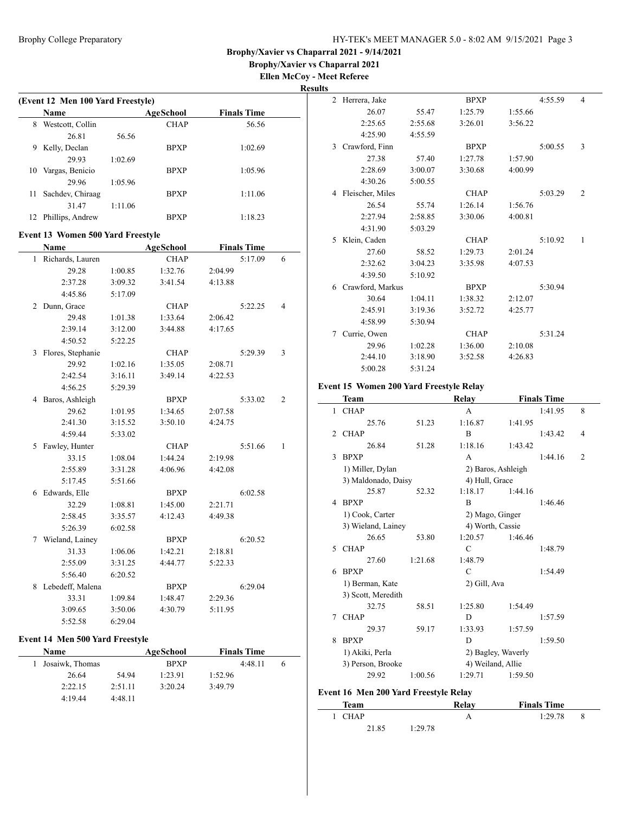**Brophy/Xavier vs Chaparral 2021 Ellen McCoy - Meet Referee**

# **Results**

 $\overline{\phantom{0}}$ 

|              | (Event 12 Men 100 Yard Freestyle)        |         |                  |         |                    |   |
|--------------|------------------------------------------|---------|------------------|---------|--------------------|---|
|              | Name                                     |         | <b>AgeSchool</b> |         | <b>Finals Time</b> |   |
| 8            | Westcott, Collin                         |         | <b>CHAP</b>      |         | 56.56              |   |
|              | 26.81                                    | 56.56   |                  |         |                    |   |
| 9            | Kelly, Declan                            |         | <b>BPXP</b>      |         | 1:02.69            |   |
|              | 29.93                                    | 1:02.69 |                  |         |                    |   |
| 10           | Vargas, Benicio                          |         | <b>BPXP</b>      |         | 1:05.96            |   |
|              | 29.96                                    | 1:05.96 |                  |         |                    |   |
| 11           | Sachdev, Chiraag                         |         | <b>BPXP</b>      |         | 1:11.06            |   |
|              | 31.47                                    | 1:11.06 |                  |         |                    |   |
| 12           | Phillips, Andrew                         |         | <b>BPXP</b>      |         | 1:18.23            |   |
|              |                                          |         |                  |         |                    |   |
|              | <b>Event 13 Women 500 Yard Freestyle</b> |         |                  |         |                    |   |
|              | Name                                     |         | AgeSchool        |         | <b>Finals Time</b> |   |
| $\mathbf{1}$ | Richards, Lauren                         |         | <b>CHAP</b>      |         | 5:17.09            | 6 |
|              | 29.28                                    | 1:00.85 | 1:32.76          | 2:04.99 |                    |   |
|              | 2:37.28                                  | 3:09.32 | 3:41.54          | 4:13.88 |                    |   |
|              | 4:45.86                                  | 5:17.09 |                  |         |                    |   |
|              | 2 Dunn, Grace                            |         | <b>CHAP</b>      |         | 5:22.25            | 4 |
|              | 29.48                                    | 1:01.38 | 1:33.64          | 2:06.42 |                    |   |
|              | 2:39.14                                  | 3:12.00 | 3:44.88          | 4:17.65 |                    |   |
|              | 4:50.52                                  | 5:22.25 |                  |         |                    |   |
|              | 3 Flores, Stephanie                      |         | <b>CHAP</b>      |         | 5:29.39            | 3 |
|              | 29.92                                    | 1:02.16 | 1:35.05          | 2:08.71 |                    |   |
|              | 2:42.54                                  | 3:16.11 | 3:49.14          | 4:22.53 |                    |   |
|              | 4:56.25                                  | 5:29.39 |                  |         |                    |   |
|              | 4 Baros, Ashleigh                        |         | <b>BPXP</b>      |         | 5:33.02            | 2 |
|              | 29.62                                    | 1:01.95 | 1:34.65          | 2:07.58 |                    |   |
|              | 2:41.30                                  | 3:15.52 | 3:50.10          | 4:24.75 |                    |   |
|              | 4:59.44                                  | 5:33.02 |                  |         |                    |   |
| 5            | Fawley, Hunter                           |         | <b>CHAP</b>      |         | 5:51.66            | 1 |
|              | 33.15                                    | 1:08.04 | 1:44.24          | 2:19.98 |                    |   |
|              | 2:55.89                                  | 3:31.28 | 4:06.96          | 4:42.08 |                    |   |
|              | 5:17.45                                  | 5:51.66 |                  |         |                    |   |
| 6            | Edwards, Elle                            |         | <b>BPXP</b>      |         | 6:02.58            |   |
|              | 32.29                                    | 1:08.81 | 1:45.00          | 2:21.71 |                    |   |
|              | 2:58.45                                  | 3:35.57 | 4:12.43          | 4:49.38 |                    |   |
|              | 5:26.39                                  | 6:02.58 |                  |         |                    |   |
|              | 7 Wieland, Lainey                        |         | <b>BPXP</b>      |         | 6:20.52            |   |
|              | 31.33                                    | 1:06.06 | 1:42.21          | 2:18.81 |                    |   |
|              | 2:55.09                                  | 3:31.25 | 4:44.77          | 5:22.33 |                    |   |
|              | 5:56.40                                  | 6:20.52 |                  |         |                    |   |
| 8            | Lebedeff, Malena                         |         | <b>BPXP</b>      |         | 6:29.04            |   |
|              | 33.31                                    | 1:09.84 | 1:48.47          | 2:29.36 |                    |   |
|              | 3:09.65                                  | 3:50.06 | 4:30.79          | 5:11.95 |                    |   |
|              | 5:52.58                                  | 6:29.04 |                  |         |                    |   |

# **Event 14 Men 500 Yard Freestyle**

| Name              |         | AgeSchool   | <b>Finals Time</b> |  |
|-------------------|---------|-------------|--------------------|--|
| 1 Josaiwk, Thomas |         | <b>BPXP</b> | 4:48.11            |  |
| 26.64             | 54.94   | 1:23.91     | 1:52.96            |  |
| 2:22.15           | 2:51.11 | 3:20.24     | 3:49.79            |  |
| 4:19.44           | 4:48.11 |             |                    |  |

| $\cdot$ |                  |         |             |         |         |                |
|---------|------------------|---------|-------------|---------|---------|----------------|
| 2       | Herrera, Jake    |         | <b>BPXP</b> |         | 4:55.59 | 4              |
|         | 26.07            | 55.47   | 1:25.79     | 1:55.66 |         |                |
|         | 2:25.65          | 2:55.68 | 3:26.01     | 3:56.22 |         |                |
|         | 4:25.90          | 4:55.59 |             |         |         |                |
| 3       | Crawford, Finn   |         | <b>BPXP</b> |         | 5:00.55 | 3              |
|         | 27.38            | 57.40   | 1:27.78     | 1:57.90 |         |                |
|         | 2:28.69          | 3:00.07 | 3:30.68     | 4:00.99 |         |                |
|         | 4:30.26          | 5:00.55 |             |         |         |                |
| 4       | Fleischer, Miles |         | <b>CHAP</b> |         | 5:03.29 | $\overline{2}$ |
|         | 26.54            | 55.74   | 1:26.14     | 1:56.76 |         |                |
|         | 2:27.94          | 2:58.85 | 3:30.06     | 4:00.81 |         |                |
|         | 4:31.90          | 5:03.29 |             |         |         |                |
| 5       | Klein, Caden     |         | <b>CHAP</b> |         | 5:10.92 | 1              |
|         | 27.60            | 58.52   | 1:29.73     | 2:01.24 |         |                |
|         | 2:32.62          | 3:04.23 | 3:35.98     | 4:07.53 |         |                |
|         | 4:39.50          | 5:10.92 |             |         |         |                |
| 6       | Crawford, Markus |         | <b>BPXP</b> |         | 5:30.94 |                |
|         | 30.64            | 1:04.11 | 1:38.32     | 2:12.07 |         |                |
|         | 2:45.91          | 3:19.36 | 3:52.72     | 4:25.77 |         |                |
|         | 4:58.99          | 5:30.94 |             |         |         |                |
| 7       | Currie, Owen     |         | <b>CHAP</b> |         | 5:31.24 |                |
|         | 29.96            | 1:02.28 | 1:36.00     | 2:10.08 |         |                |
|         | 2:44.10          | 3:18.90 | 3:52.58     | 4:26.83 |         |                |
|         | 5:00.28          | 5:31.24 |             |         |         |                |

# **Event 15 Women 200 Yard Freestyle Relay**

|                | Team                                  |         | Relay              |                    | <b>Finals Time</b> |   |
|----------------|---------------------------------------|---------|--------------------|--------------------|--------------------|---|
| $\mathbf{1}$   | <b>CHAP</b>                           |         | A                  |                    | 1:41.95            | 8 |
|                | 25.76                                 | 51.23   | 1:16.87            | 1:41.95            |                    |   |
| $\mathfrak{D}$ | <b>CHAP</b>                           |         | B                  |                    | 1:43.42            | 4 |
|                | 26.84                                 | 51.28   | 1:18.16            | 1:43.42            |                    |   |
| 3              | <b>BPXP</b>                           |         | A                  |                    | 1:44.16            | 2 |
|                | 1) Miller, Dylan                      |         | 2) Baros, Ashleigh |                    |                    |   |
|                | 3) Maldonado, Daisy                   |         | 4) Hull, Grace     |                    |                    |   |
|                | 25.87                                 | 52.32   | 1:18.17            | 1:44.16            |                    |   |
| 4              | <b>BPXP</b>                           |         | B                  |                    | 1:46.46            |   |
|                | 1) Cook, Carter                       |         | 2) Mago, Ginger    |                    |                    |   |
|                | 3) Wieland, Lainey                    |         | 4) Worth, Cassie   |                    |                    |   |
|                | 26.65                                 | 53.80   | 1:20.57            | 1:46.46            |                    |   |
| 5              | <b>CHAP</b>                           |         | $\mathcal{C}$      |                    | 1:48.79            |   |
|                | 27.60                                 | 1:21.68 | 1:48.79            |                    |                    |   |
| 6              | <b>BPXP</b>                           |         | C                  |                    | 1:54.49            |   |
|                | 1) Berman, Kate                       |         | 2) Gill, Ava       |                    |                    |   |
|                | 3) Scott, Meredith                    |         |                    |                    |                    |   |
|                | 32.75                                 | 58.51   | 1:25.80            | 1:54.49            |                    |   |
| 7              | <b>CHAP</b>                           |         | D                  |                    | 1:57.59            |   |
|                | 29.37                                 | 59.17   | 1:33.93            | 1:57.59            |                    |   |
| 8              | <b>BPXP</b>                           |         | D                  |                    | 1:59.50            |   |
|                | 1) Akiki, Perla                       |         |                    | 2) Bagley, Waverly |                    |   |
|                | 3) Person, Brooke                     |         | 4) Weiland, Allie  |                    |                    |   |
|                | 29.92                                 | 1:00.56 | 1:29.71            | 1:59.50            |                    |   |
|                | Event 16 Men 200 Yard Freestyle Relay |         |                    |                    |                    |   |
|                | Team                                  |         | Relay              |                    | <b>Finals Time</b> |   |

1 CHAP A 1:29.78 8

21.85 1:29.78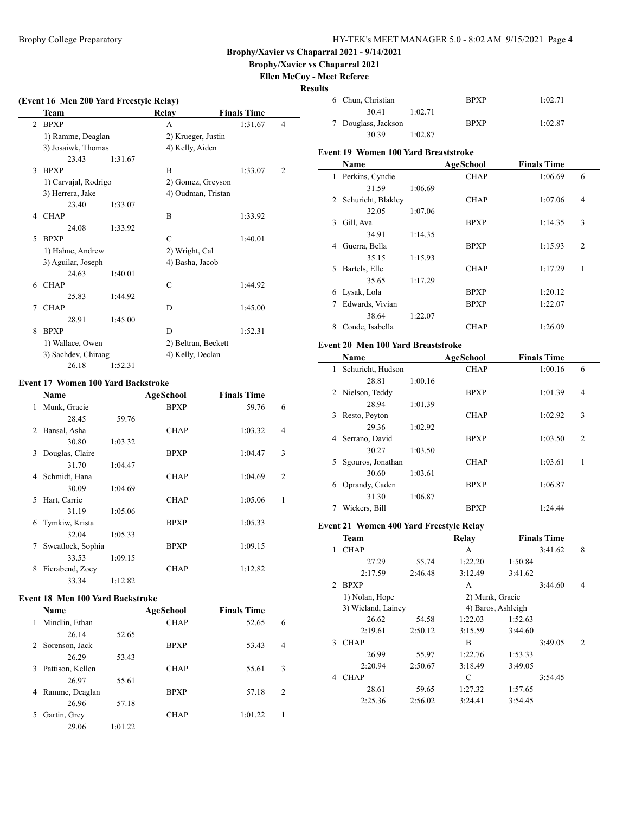# **Brophy/Xavier vs Chaparral 2021**

### **Ellen McCoy - Meet Referee Results**

 $\overline{a}$ 

|             | (Event 16 Men 200 Yard Freestyle Relay) |         |                     |                    |   |
|-------------|-----------------------------------------|---------|---------------------|--------------------|---|
|             | <b>Team</b>                             |         | Relay               | <b>Finals Time</b> |   |
| 2           | <b>BPXP</b>                             |         | A                   | 1:31.67            | 4 |
|             | 1) Ramme, Deaglan                       |         | 2) Krueger, Justin  |                    |   |
|             | 3) Josaiwk, Thomas                      |         | 4) Kelly, Aiden     |                    |   |
|             | 23.43                                   | 1:31.67 |                     |                    |   |
| 3           | <b>BPXP</b>                             |         | B                   | 1:33.07            | 2 |
|             | 1) Carvajal, Rodrigo                    |         | 2) Gomez, Greyson   |                    |   |
|             | 3) Herrera, Jake                        |         | 4) Oudman, Tristan  |                    |   |
|             | 23.40                                   | 1:33.07 |                     |                    |   |
| 4           | <b>CHAP</b>                             |         | B                   | 1:33.92            |   |
|             | 24.08                                   | 1:33.92 |                     |                    |   |
| $\varsigma$ | <b>BPXP</b>                             |         | C                   | 1:40.01            |   |
|             | 1) Hahne, Andrew                        |         | 2) Wright, Cal      |                    |   |
|             | 3) Aguilar, Joseph                      |         | 4) Basha, Jacob     |                    |   |
|             | 24.63                                   | 1:40.01 |                     |                    |   |
| 6           | <b>CHAP</b>                             |         | $\mathcal{C}$       | 1:44.92            |   |
|             | 25.83                                   | 1:44.92 |                     |                    |   |
| 7           | <b>CHAP</b>                             |         | D                   | 1:45.00            |   |
|             | 28.91                                   | 1:45.00 |                     |                    |   |
| 8           | <b>BPXP</b>                             |         | D                   | 1:52.31            |   |
|             | 1) Wallace, Owen                        |         | 2) Beltran, Beckett |                    |   |
|             | 3) Sachdev, Chiraag                     |         | 4) Kelly, Declan    |                    |   |
|             | 26.18                                   | 1:52.31 |                     |                    |   |

### **Event 17 Women 100 Yard Backstroke**

 $\overline{a}$ 

|    | <b>Name</b>       |         | AgeSchool   | <b>Finals Time</b> |                |
|----|-------------------|---------|-------------|--------------------|----------------|
| 1  | Munk, Gracie      |         | <b>BPXP</b> | 59.76              | 6              |
|    | 28.45             | 59.76   |             |                    |                |
| 2  | Bansal, Asha      |         | <b>CHAP</b> | 1:03.32            | $\overline{4}$ |
|    | 30.80             | 1:03.32 |             |                    |                |
| 3  | Douglas, Claire   |         | <b>BPXP</b> | 1:04.47            | 3              |
|    | 31.70             | 1:04.47 |             |                    |                |
| 4  | Schmidt, Hana     |         | <b>CHAP</b> | 1:04.69            | $\overline{2}$ |
|    | 30.09             | 1:04.69 |             |                    |                |
| 5. | Hart, Carrie      |         | <b>CHAP</b> | 1:05.06            | 1              |
|    | 31.19             | 1:05.06 |             |                    |                |
| 6  | Tymkiw, Krista    |         | <b>BPXP</b> | 1:05.33            |                |
|    | 32.04             | 1:05.33 |             |                    |                |
| 7  | Sweatlock, Sophia |         | <b>BPXP</b> | 1:09.15            |                |
|    | 33.53             | 1:09.15 |             |                    |                |
| 8  | Fierabend, Zoey   |         | <b>CHAP</b> | 1:12.82            |                |
|    | 33.34             | 1:12.82 |             |                    |                |

### **Event 18 Men 100 Yard Backstroke**

|   | <b>Name</b>      |         | AgeSchool   | <b>Finals Time</b> |                |
|---|------------------|---------|-------------|--------------------|----------------|
| 1 | Mindlin, Ethan   |         | <b>CHAP</b> | 52.65              | 6              |
|   | 26.14            | 52.65   |             |                    |                |
|   | 2 Sorenson, Jack |         | <b>BPXP</b> | 53.43              | $\overline{4}$ |
|   | 26.29            | 53.43   |             |                    |                |
| 3 | Pattison, Kellen |         | <b>CHAP</b> | 55.61              | 3              |
|   | 26.97            | 55.61   |             |                    |                |
| 4 | Ramme, Deaglan   |         | <b>BPXP</b> | 57.18              | 2              |
|   | 26.96            | 57.18   |             |                    |                |
|   | Gartin, Grey     |         | <b>CHAP</b> | 1:01.22            |                |
|   | 29.06            | 1:01.22 |             |                    |                |

| 6 | Chun, Christian                             |         | <b>BPXP</b> | 1:02.71            |                |
|---|---------------------------------------------|---------|-------------|--------------------|----------------|
|   | 30.41                                       | 1:02.71 |             |                    |                |
| 7 | Douglass, Jackson                           |         | <b>BPXP</b> | 1:02.87            |                |
|   | 30.39                                       | 1:02.87 |             |                    |                |
|   | <b>Event 19 Women 100 Yard Breaststroke</b> |         |             |                    |                |
|   | Name                                        |         | AgeSchool   | <b>Finals Time</b> |                |
| 1 | Perkins, Cyndie                             |         | <b>CHAP</b> | 1:06.69            | 6              |
|   | 31.59                                       | 1:06.69 |             |                    |                |
| 2 | Schuricht, Blakley                          |         | <b>CHAP</b> | 1:07.06            | 4              |
|   | 32.05                                       | 1:07.06 |             |                    |                |
| 3 | Gill, Ava                                   |         | <b>BPXP</b> | 1:14.35            | 3              |
|   | 34.91                                       | 1:14.35 |             |                    |                |
| 4 | Guerra, Bella                               |         | <b>BPXP</b> | 1:15.93            | $\overline{2}$ |
|   | 35.15                                       | 1:15.93 |             |                    |                |
| 5 | Bartels, Elle                               |         | <b>CHAP</b> | 1:17.29            | 1              |
|   | 35.65                                       | 1:17.29 |             |                    |                |
| 6 | Lysak, Lola                                 |         | <b>BPXP</b> | 1:20.12            |                |
| 7 | Edwards, Vivian                             |         | <b>BPXP</b> | 1:22.07            |                |
|   | 38.64                                       | 1:22.07 |             |                    |                |
| 8 | Conde, Isabella                             |         | <b>CHAP</b> | 1:26.09            |                |
|   | $\cdots$                                    |         |             |                    |                |

### **Event 20 Men 100 Yard Breaststroke**

|    | Name              |         | <b>AgeSchool</b> | <b>Finals Time</b> |                |
|----|-------------------|---------|------------------|--------------------|----------------|
| 1  | Schuricht, Hudson |         | <b>CHAP</b>      | 1:00.16            | 6              |
|    | 28.81             | 1:00.16 |                  |                    |                |
|    | 2 Nielson, Teddy  |         | <b>BPXP</b>      | 1:01.39            | 4              |
|    | 28.94             | 1:01.39 |                  |                    |                |
| 3  | Resto, Peyton     |         | <b>CHAP</b>      | 1:02.92            | 3              |
|    | 29.36             | 1:02.92 |                  |                    |                |
| 4  | Serrano, David    |         | <b>BPXP</b>      | 1:03.50            | $\overline{c}$ |
|    | 30.27             | 1:03.50 |                  |                    |                |
| 5. | Sgouros, Jonathan |         | <b>CHAP</b>      | 1:03.61            | 1              |
|    | 30.60             | 1:03.61 |                  |                    |                |
| 6  | Oprandy, Caden    |         | <b>BPXP</b>      | 1:06.87            |                |
|    | 31.30             | 1:06.87 |                  |                    |                |
|    | Wickers, Bill     |         | <b>BPXP</b>      | 1:24.44            |                |

# **Event 21 Women 400 Yard Freestyle Relay**

|               | <b>Team</b>        |         | Relay              |         | <b>Finals Time</b> |                |
|---------------|--------------------|---------|--------------------|---------|--------------------|----------------|
| 1             | <b>CHAP</b>        |         | A                  |         | 3:41.62            | 8              |
|               | 27.29              | 55.74   | 1:22.20            | 1:50.84 |                    |                |
|               | 2:17.59            | 2:46.48 | 3:12.49            | 3:41.62 |                    |                |
| $\mathcal{L}$ | <b>BPXP</b>        |         | A                  |         | 3:44.60            | 4              |
|               | 1) Nolan, Hope     |         | 2) Munk, Gracie    |         |                    |                |
|               | 3) Wieland, Lainey |         | 4) Baros, Ashleigh |         |                    |                |
|               | 26.62              | 54.58   | 1:22.03            | 1:52.63 |                    |                |
|               | 2:19.61            | 2:50.12 | 3:15.59            | 3:44.60 |                    |                |
| 3             | <b>CHAP</b>        |         | B                  |         | 3:49.05            | $\overline{c}$ |
|               | 26.99              | 55.97   | 1:22.76            | 1:53.33 |                    |                |
|               | 2:20.94            | 2:50.67 | 3:18.49            | 3:49.05 |                    |                |
| 4             | <b>CHAP</b>        |         | C                  |         | 3:54.45            |                |
|               | 28.61              | 59.65   | 1:27.32            | 1:57.65 |                    |                |
|               | 2:25.36            | 2:56.02 | 3:24.41            | 3:54.45 |                    |                |